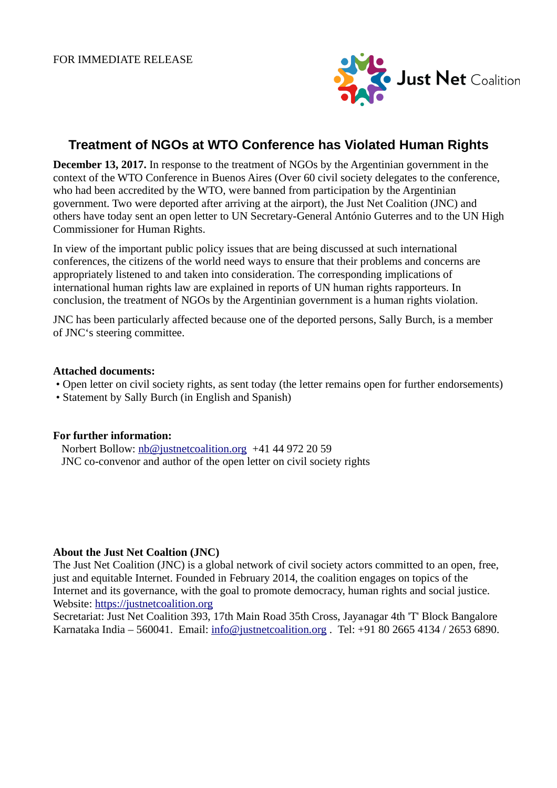

# **Treatment of NGOs at WTO Conference has Violated Human Rights**

**December 13, 2017.** In response to the treatment of NGOs by the Argentinian government in the context of the WTO Conference in Buenos Aires (Over 60 civil society delegates to the conference, who had been accredited by the WTO, were banned from participation by the Argentinian government. Two were deported after arriving at the airport), the Just Net Coalition (JNC) and others have today sent an open letter to UN Secretary-General António Guterres and to the UN High Commissioner for Human Rights.

In view of the important public policy issues that are being discussed at such international conferences, the citizens of the world need ways to ensure that their problems and concerns are appropriately listened to and taken into consideration. The corresponding implications of international human rights law are explained in reports of UN human rights rapporteurs. In conclusion, the treatment of NGOs by the Argentinian government is a human rights violation.

JNC has been particularly affected because one of the deported persons, Sally Burch, is a member of JNC's steering committee.

#### **Attached documents:**

- Open letter on civil society rights, as sent today (the letter remains open for further endorsements)
- Statement by Sally Burch (in English and Spanish)

## **For further information:**

 Norbert Bollow: [nb@justnetcoalition.org](mailto:nb@justnetcoalition.org) +41 44 972 20 59 JNC co-convenor and author of the open letter on civil society rights

## **About the Just Net Coaltion (JNC)**

The Just Net Coalition (JNC) is a global network of civil society actors committed to an open, free, just and equitable Internet. Founded in February 2014, the coalition engages on topics of the Internet and its governance, with the goal to promote democracy, human rights and social justice. Website: [https://justnetcoalition.org](https://justnetcoalition.org/)

Secretariat: Just Net Coalition 393, 17th Main Road 35th Cross, Jayanagar 4th 'T' Block Bangalore Karnataka India – 560041. Email: [info@justnetcoalition.org](mailto:info@justnetcoalition.org) . Tel: +91 80 2665 4134 / 2653 6890.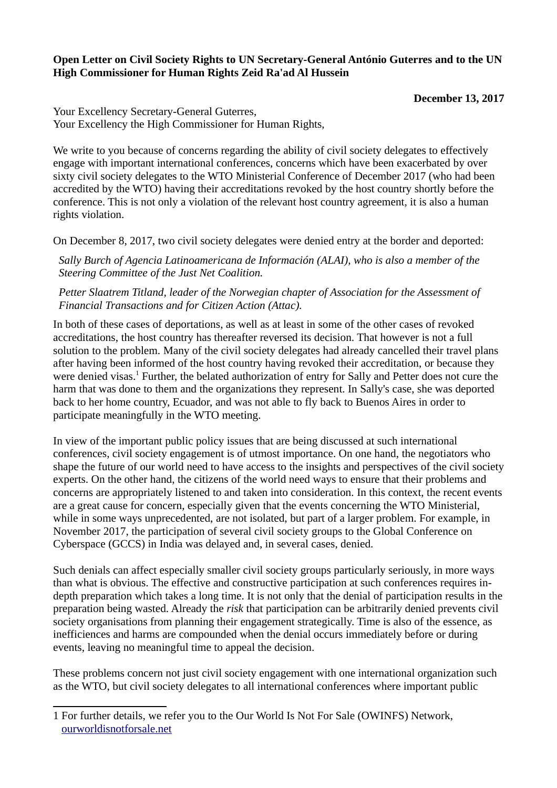# **Open Letter on Civil Society Rights to UN Secretary-General António Guterres and to the UN High Commissioner for Human Rights Zeid Ra'ad Al Hussein**

**December 13, 2017**

Your Excellency Secretary-General Guterres, Your Excellency the High Commissioner for Human Rights,

We write to you because of concerns regarding the ability of civil society delegates to effectively engage with important international conferences, concerns which have been exacerbated by over sixty civil society delegates to the WTO Ministerial Conference of December 2017 (who had been accredited by the WTO) having their accreditations revoked by the host country shortly before the conference. This is not only a violation of the relevant host country agreement, it is also a human rights violation.

On December 8, 2017, two civil society delegates were denied entry at the border and deported:

 *Sally Burch of Agencia Latinoamericana de Información (ALAI), who is also a member of the Steering Committee of the Just Net Coalition.*

 *Petter Slaatrem Titland, leader of the Norwegian chapter of Association for the Assessment of Financial Transactions and for Citizen Action (Attac).*

In both of these cases of deportations, as well as at least in some of the other cases of revoked accreditations, the host country has thereafter reversed its decision. That however is not a full solution to the problem. Many of the civil society delegates had already cancelled their travel plans after having been informed of the host country having revoked their accreditation, or because they were denied visas.<sup>[1](#page-1-0)</sup> Further, the belated authorization of entry for Sally and Petter does not cure the harm that was done to them and the organizations they represent. In Sally's case, she was deported back to her home country, Ecuador, and was not able to fly back to Buenos Aires in order to participate meaningfully in the WTO meeting.

In view of the important public policy issues that are being discussed at such international conferences, civil society engagement is of utmost importance. On one hand, the negotiators who shape the future of our world need to have access to the insights and perspectives of the civil society experts. On the other hand, the citizens of the world need ways to ensure that their problems and concerns are appropriately listened to and taken into consideration. In this context, the recent events are a great cause for concern, especially given that the events concerning the WTO Ministerial, while in some ways unprecedented, are not isolated, but part of a larger problem. For example, in November 2017, the participation of several civil society groups to the Global Conference on Cyberspace (GCCS) in India was delayed and, in several cases, denied.

Such denials can affect especially smaller civil society groups particularly seriously, in more ways than what is obvious. The effective and constructive participation at such conferences requires indepth preparation which takes a long time. It is not only that the denial of participation results in the preparation being wasted. Already the *risk* that participation can be arbitrarily denied prevents civil society organisations from planning their engagement strategically. Time is also of the essence, as inefficiences and harms are compounded when the denial occurs immediately before or during events, leaving no meaningful time to appeal the decision.

These problems concern not just civil society engagement with one international organization such as the WTO, but civil society delegates to all international conferences where important public

<span id="page-1-0"></span><sup>1</sup> For further details, we refer you to the Our World Is Not For Sale (OWINFS) Network, [ourworldisnotforsale.net](http://ourworldisnotforsale.net/)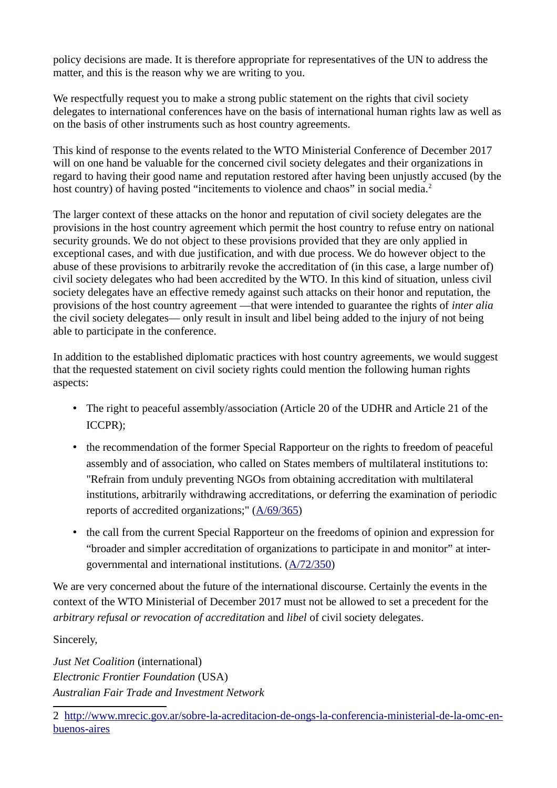policy decisions are made. It is therefore appropriate for representatives of the UN to address the matter, and this is the reason why we are writing to you.

We respectfully request you to make a strong public statement on the rights that civil society delegates to international conferences have on the basis of international human rights law as well as on the basis of other instruments such as host country agreements.

This kind of response to the events related to the WTO Ministerial Conference of December 2017 will on one hand be valuable for the concerned civil society delegates and their organizations in regard to having their good name and reputation restored after having been unjustly accused (by the host country) of having posted "incitements to violence and chaos" in social media.<sup>[2](#page-2-0)</sup>

The larger context of these attacks on the honor and reputation of civil society delegates are the provisions in the host country agreement which permit the host country to refuse entry on national security grounds. We do not object to these provisions provided that they are only applied in exceptional cases, and with due justification, and with due process. We do however object to the abuse of these provisions to arbitrarily revoke the accreditation of (in this case, a large number of) civil society delegates who had been accredited by the WTO. In this kind of situation, unless civil society delegates have an effective remedy against such attacks on their honor and reputation, the provisions of the host country agreement —that were intended to guarantee the rights of *inter alia* the civil society delegates— only result in insult and libel being added to the injury of not being able to participate in the conference.

In addition to the established diplomatic practices with host country agreements, we would suggest that the requested statement on civil society rights could mention the following human rights aspects:

- The right to peaceful assembly/association (Article 20 of the UDHR and Article 21 of the ICCPR);
- the recommendation of the former Special Rapporteur on the rights to freedom of peaceful assembly and of association, who called on States members of multilateral institutions to: "Refrain from unduly preventing NGOs from obtaining accreditation with multilateral institutions, arbitrarily withdrawing accreditations, or deferring the examination of periodic reports of accredited organizations;" [\(A/69/365\)](http://daccess-ods.un.org/access.nsf/Get?OpenAgent&DS=A/69/365&Lang=E)
- the call from the current Special Rapporteur on the freedoms of opinion and expression for "broader and simpler accreditation of organizations to participate in and monitor" at intergovernmental and international institutions. [\(A/72/350\)](http://www.un.org/ga/search/view_doc.asp?symbol=A/72/350)

We are very concerned about the future of the international discourse. Certainly the events in the context of the WTO Ministerial of December 2017 must not be allowed to set a precedent for the *arbitrary refusal or revocation of accreditation* and *libel* of civil society delegates.

Sincerely,

*Just Net Coalition* (international) *Electronic Frontier Foundation* (USA) *Australian Fair Trade and Investment Network*

<span id="page-2-0"></span><sup>2</sup> [http://www.mrecic.gov.ar/sobre-la-acreditacion-de-ongs-la-conferencia-ministerial-de-la-omc-en](http://www.mrecic.gov.ar/sobre-la-acreditacion-de-ongs-la-conferencia-ministerial-de-la-omc-en-buenos-aires)[buenos-aires](http://www.mrecic.gov.ar/sobre-la-acreditacion-de-ongs-la-conferencia-ministerial-de-la-omc-en-buenos-aires)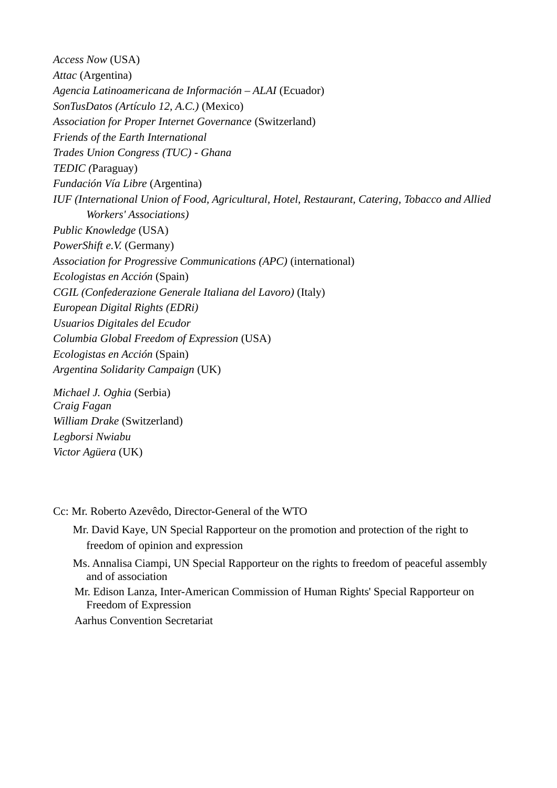*Access Now* (USA) *Attac* (Argentina) *Agencia Latinoamericana de Información – ALAI* (Ecuador) *SonTusDatos (Artículo 12, A.C.)* (Mexico) *Association for Proper Internet Governance* (Switzerland) *Friends of the Earth International Trades Union Congress (TUC) - Ghana TEDIC (*Paraguay) *Fundación Vía Libre* (Argentina) *IUF (International Union of Food, Agricultural, Hotel, Restaurant, Catering, Tobacco and Allied Workers' Associations) Public Knowledge* (USA) *PowerShift e.V.* (Germany) *Association for Progressive Communications (APC)* (international) *Ecologistas en Acción* (Spain) *CGIL (Confederazione Generale Italiana del Lavoro)* (Italy) *European Digital Rights (EDRi) Usuarios Digitales del Ecudor Columbia Global Freedom of Expression* (USA) *Ecologistas en Acción* (Spain) *Argentina Solidarity Campaign* (UK)

*Michael J. Oghia* (Serbia) *Craig Fagan William Drake* (Switzerland) *Legborsi Nwiabu Victor Agüera* (UK)

## Cc: Mr. Roberto Azevêdo, Director-General of the WTO

- Mr. David Kaye, UN Special Rapporteur on the promotion and protection of the right to freedom of opinion and expression
- Ms. Annalisa Ciampi, UN Special Rapporteur on the rights to freedom of peaceful assembly and of association
- Mr. Edison Lanza, Inter-American Commission of Human Rights' Special Rapporteur on Freedom of Expression

Aarhus Convention Secretariat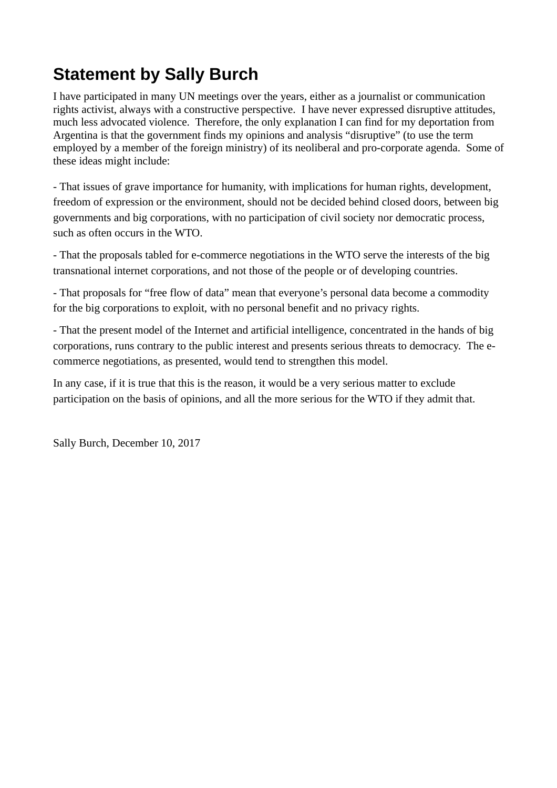# **Statement by Sally Burch**

I have participated in many UN meetings over the years, either as a journalist or communication rights activist, always with a constructive perspective. I have never expressed disruptive attitudes, much less advocated violence. Therefore, the only explanation I can find for my deportation from Argentina is that the government finds my opinions and analysis "disruptive" (to use the term employed by a member of the foreign ministry) of its neoliberal and pro-corporate agenda. Some of these ideas might include:

- That issues of grave importance for humanity, with implications for human rights, development, freedom of expression or the environment, should not be decided behind closed doors, between big governments and big corporations, with no participation of civil society nor democratic process, such as often occurs in the WTO.

- That the proposals tabled for e-commerce negotiations in the WTO serve the interests of the big transnational internet corporations, and not those of the people or of developing countries.

- That proposals for "free flow of data" mean that everyone's personal data become a commodity for the big corporations to exploit, with no personal benefit and no privacy rights.

- That the present model of the Internet and artificial intelligence, concentrated in the hands of big corporations, runs contrary to the public interest and presents serious threats to democracy. The ecommerce negotiations, as presented, would tend to strengthen this model.

In any case, if it is true that this is the reason, it would be a very serious matter to exclude participation on the basis of opinions, and all the more serious for the WTO if they admit that.

Sally Burch, December 10, 2017